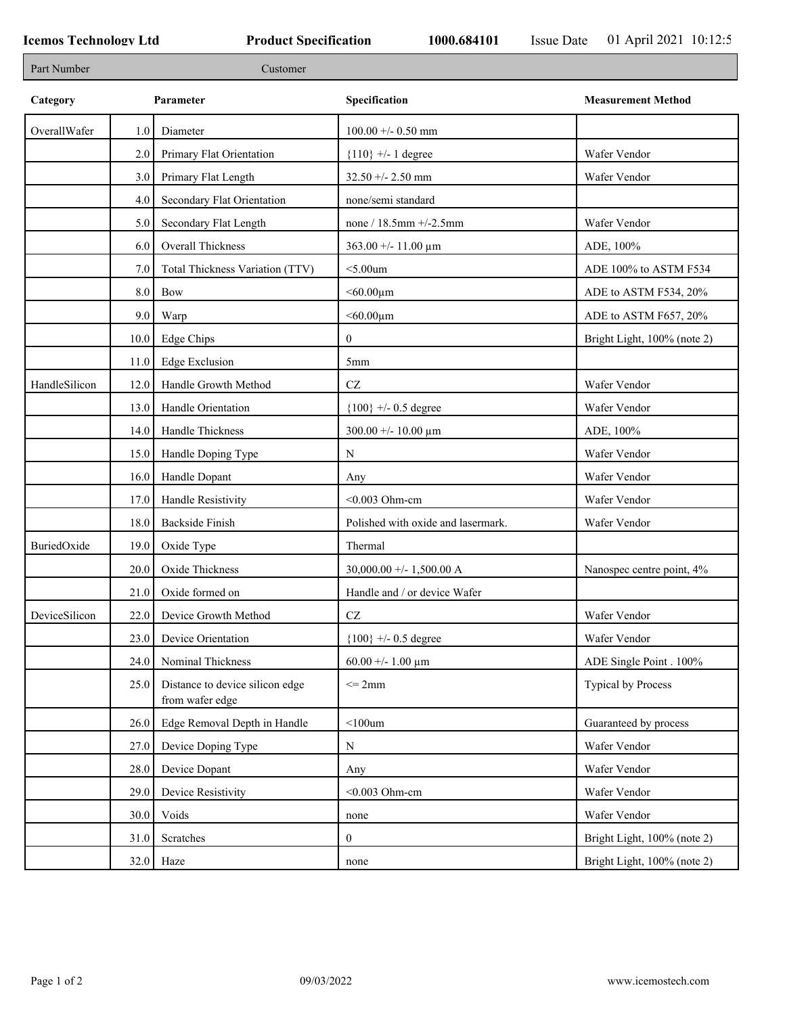٦

| Part Number   |         | Customer                                           |                                        |                             |
|---------------|---------|----------------------------------------------------|----------------------------------------|-----------------------------|
| Category      |         | Parameter                                          | Specification                          | <b>Measurement Method</b>   |
| OverallWafer  | 1.0     | Diameter                                           | $100.00 + - 0.50$ mm                   |                             |
|               | 2.0     | Primary Flat Orientation                           | ${110}$ +/- 1 degree                   | Wafer Vendor                |
|               | 3.0     | Primary Flat Length                                | $32.50 + - 2.50$ mm                    | Wafer Vendor                |
|               | 4.0     | Secondary Flat Orientation                         | none/semi standard                     |                             |
|               | 5.0     | Secondary Flat Length                              | none / $18.5$ mm $+/-2.5$ mm           | Wafer Vendor                |
|               | 6.0     | Overall Thickness                                  | $363.00 + - 11.00 \mu m$               | ADE, 100%                   |
|               | 7.0     | Total Thickness Variation (TTV)                    | $<$ 5.00 $um$                          | ADE 100% to ASTM F534       |
|               | $8.0\,$ | Bow                                                | $< 60.00 \mu m$                        | ADE to ASTM F534, 20%       |
|               | 9.0     | Warp                                               | $< 60.00 \mu m$                        | ADE to ASTM F657, 20%       |
|               | 10.0    | Edge Chips                                         | $\mathbf{0}$                           | Bright Light, 100% (note 2) |
|               | 11.0    | Edge Exclusion                                     | 5mm                                    |                             |
| HandleSilicon | 12.0    | Handle Growth Method                               | $\operatorname{CZ}$                    | Wafer Vendor                |
|               | 13.0    | Handle Orientation                                 | ${100}$ +/- 0.5 degree                 | Wafer Vendor                |
|               | 14.0    | Handle Thickness                                   | $300.00 + - 10.00 \text{ }\mu\text{m}$ | ADE, 100%                   |
|               | 15.0    | Handle Doping Type                                 | N                                      | Wafer Vendor                |
|               | 16.0    | Handle Dopant                                      | Any                                    | Wafer Vendor                |
|               | 17.0    | Handle Resistivity                                 | $<$ 0.003 Ohm-cm                       | Wafer Vendor                |
|               | 18.0    | <b>Backside Finish</b>                             | Polished with oxide and lasermark.     | Wafer Vendor                |
| BuriedOxide   | 19.0    | Oxide Type                                         | Thermal                                |                             |
|               | 20.0    | Oxide Thickness                                    | $30,000.00 +/- 1,500.00 A$             | Nanospec centre point, 4%   |
|               | 21.0    | Oxide formed on                                    | Handle and / or device Wafer           |                             |
| DeviceSilicon | 22.0    | Device Growth Method                               | $\operatorname{CZ}$                    | Wafer Vendor                |
|               | 23.0    | Device Orientation                                 | ${100}$ +/- 0.5 degree                 | Wafer Vendor                |
|               | 24.0    | Nominal Thickness                                  | 60.00 +/- 1.00 $\mu$ m                 | ADE Single Point . 100%     |
|               | 25.0    | Distance to device silicon edge<br>from wafer edge | $\leq$ 2mm                             | <b>Typical by Process</b>   |
|               | 26.0    | Edge Removal Depth in Handle                       | $<$ 100 $um$                           | Guaranteed by process       |
|               | 27.0    | Device Doping Type                                 | N                                      | Wafer Vendor                |
|               | 28.0    | Device Dopant                                      | Any                                    | Wafer Vendor                |
|               | 29.0    | Device Resistivity                                 | $<$ 0.003 Ohm-cm                       | Wafer Vendor                |
|               | 30.0    | Voids                                              | none                                   | Wafer Vendor                |
|               | 31.0    | Scratches                                          | $\boldsymbol{0}$                       | Bright Light, 100% (note 2) |
|               | 32.0    | Haze                                               | none                                   | Bright Light, 100% (note 2) |